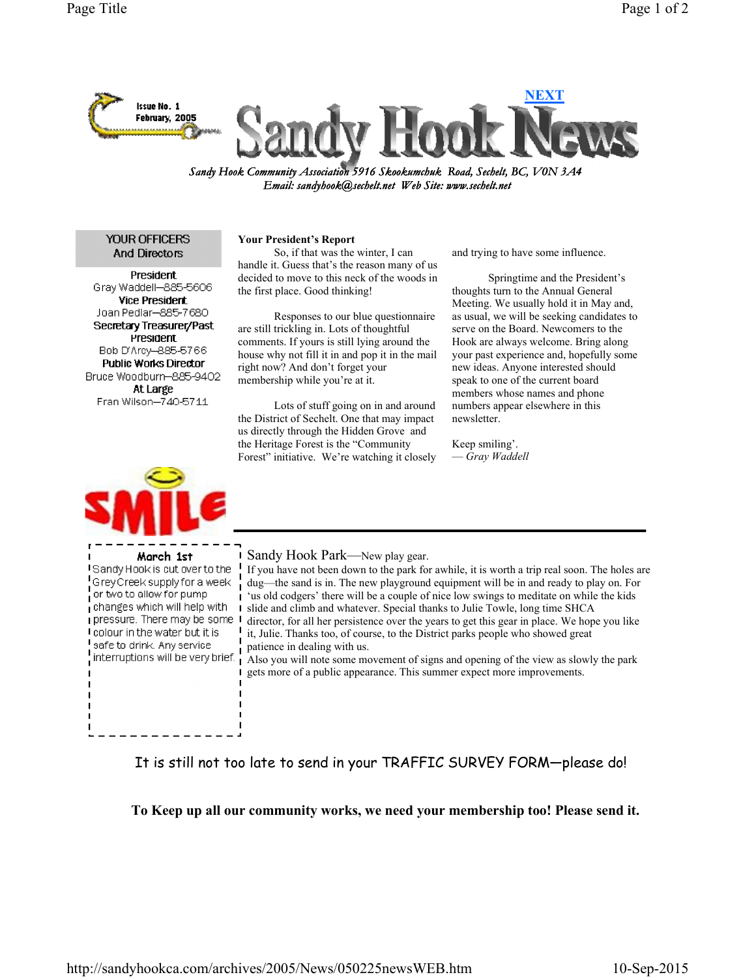

Sandy Hook Community Association 5916 Skookumchuk Road, Sechelt, BC, V0N 3A4 Email: sandyhook@sechelt.net Web Site: www.sechelt.net

**YOUR OFFICERS** And Directors

**President** Gray Waddell-885-5606 **Vice President** Joan Pedlar-885-7680 Secretary Treasurer/Past President Bob D'Arcy-885-5766 **Public Works Director** Bruce Woodburn-885-9402 At Large Fran Wilson-740-5711



March 1st I Sandy Hook is cut over to the GreyCreek supply for a week or two to allow for pump changes which will help with  $\blacksquare$ pressure. There may be some 1 I colour in the water but it is safe to drink. Any service  $\frac{1}{2}$  interruptions will be very brief.

## Your President's Report

 So, if that was the winter, I can handle it. Guess that's the reason many of us decided to move to this neck of the woods in the first place. Good thinking!

 Responses to our blue questionnaire are still trickling in. Lots of thoughtful comments. If yours is still lying around the house why not fill it in and pop it in the mail right now? And don't forget your membership while you're at it.

 Lots of stuff going on in and around the District of Sechelt. One that may impact us directly through the Hidden Grove and the Heritage Forest is the "Community Forest" initiative. We're watching it closely and trying to have some influence.

 Springtime and the President's thoughts turn to the Annual General Meeting. We usually hold it in May and, as usual, we will be seeking candidates to serve on the Board. Newcomers to the Hook are always welcome. Bring along your past experience and, hopefully some new ideas. Anyone interested should speak to one of the current board members whose names and phone numbers appear elsewhere in this newsletter.

Keep smiling'. — Gray Waddell

Sandy Hook Park—New play gear.

If you have not been down to the park for awhile, it is worth a trip real soon. The holes are dug—the sand is in. The new playground equipment will be in and ready to play on. For 'us old codgers' there will be a couple of nice low swings to meditate on while the kids slide and climb and whatever. Special thanks to Julie Towle, long time SHCA director, for all her persistence over the years to get this gear in place. We hope you like it, Julie. Thanks too, of course, to the District parks people who showed great patience in dealing with us.

Also you will note some movement of signs and opening of the view as slowly the park gets more of a public appearance. This summer expect more improvements.

It is still not too late to send in your TRAFFIC SURVEY FORM—please do!

To Keep up all our community works, we need your membership too! Please send it.